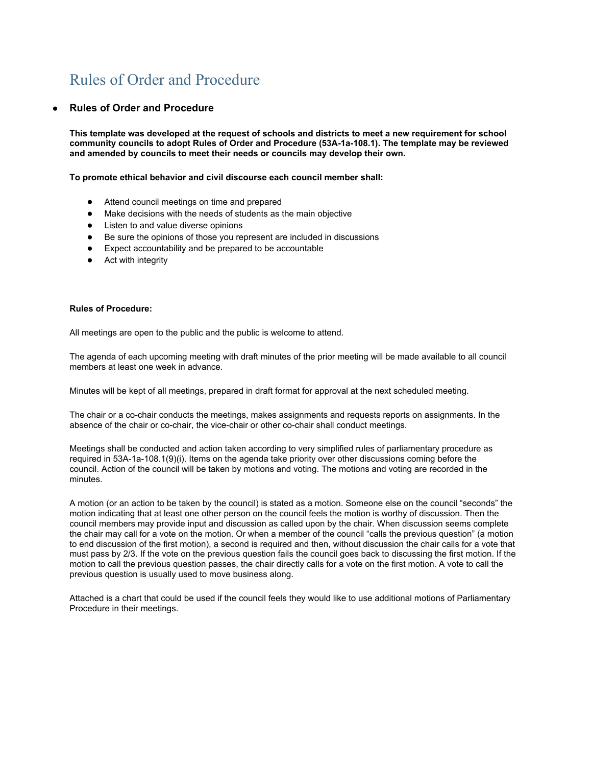## Rules of Order and Procedure

## **● Rules of Order and Procedure**

**This template was developed at the request of schools and districts to meet a new requirement for school community councils to adopt Rules of Order and Procedure (53A-1a-108.1). The template may be reviewed and amended by councils to meet their needs or councils may develop their own.**

**To promote ethical behavior and civil discourse each council member shall:**

- Attend council meetings on time and prepared
- Make decisions with the needs of students as the main objective
- Listen to and value diverse opinions
- Be sure the opinions of those you represent are included in discussions
- Expect accountability and be prepared to be accountable
- Act with integrity

## **Rules of Procedure:**

All meetings are open to the public and the public is welcome to attend.

The agenda of each upcoming meeting with draft minutes of the prior meeting will be made available to all council members at least one week in advance.

Minutes will be kept of all meetings, prepared in draft format for approval at the next scheduled meeting.

The chair or a co-chair conducts the meetings, makes assignments and requests reports on assignments. In the absence of the chair or co-chair, the vice-chair or other co-chair shall conduct meetings.

Meetings shall be conducted and action taken according to very simplified rules of parliamentary procedure as required in 53A-1a-108.1(9)(i). Items on the agenda take priority over other discussions coming before the council. Action of the council will be taken by motions and voting. The motions and voting are recorded in the minutes.

A motion (or an action to be taken by the council) is stated as a motion. Someone else on the council "seconds" the motion indicating that at least one other person on the council feels the motion is worthy of discussion. Then the council members may provide input and discussion as called upon by the chair. When discussion seems complete the chair may call for a vote on the motion. Or when a member of the council "calls the previous question" (a motion to end discussion of the first motion), a second is required and then, without discussion the chair calls for a vote that must pass by 2/3. If the vote on the previous question fails the council goes back to discussing the first motion. If the motion to call the previous question passes, the chair directly calls for a vote on the first motion. A vote to call the previous question is usually used to move business along.

Attached is a chart that could be used if the council feels they would like to use additional motions of Parliamentary Procedure in their meetings.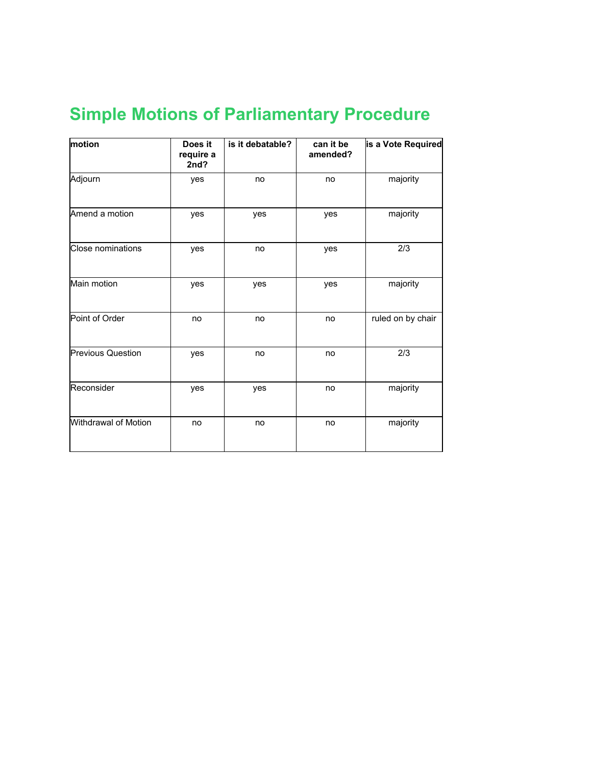## **Simple Motions of Parliamentary Procedure**

| motion                   | Does it<br>require a<br>2nd? | is it debatable? | can it be<br>amended? | is a Vote Required |
|--------------------------|------------------------------|------------------|-----------------------|--------------------|
| Adjourn                  | yes                          | no               | no                    | majority           |
| Amend a motion           | yes                          | yes              | yes                   | majority           |
| Close nominations        | yes                          | no               | yes                   | 2/3                |
| Main motion              | yes                          | yes              | yes                   | majority           |
| Point of Order           | no                           | no               | no                    | ruled on by chair  |
| <b>Previous Question</b> | yes                          | no               | no                    | 2/3                |
| Reconsider               | yes                          | yes              | no                    | majority           |
| Withdrawal of Motion     | no                           | no               | no                    | majority           |